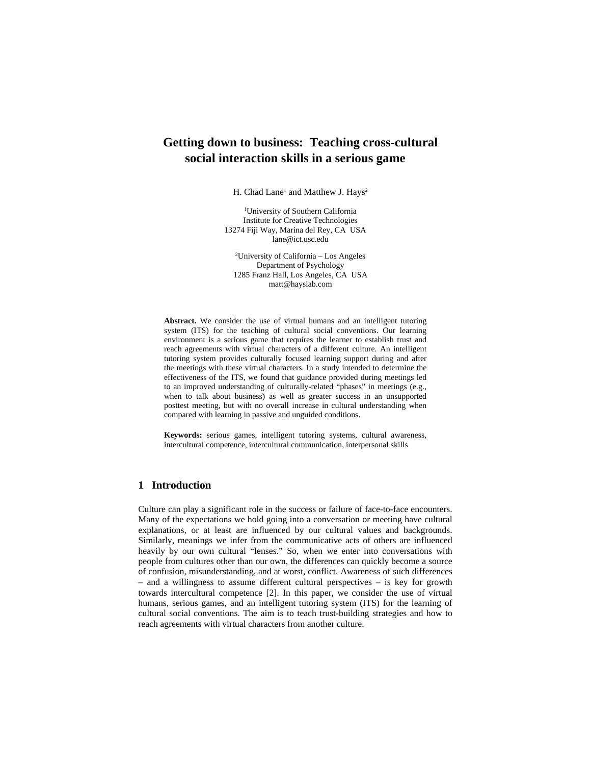# **Getting down to business: Teaching cross-cultural social interaction skills in a serious game**

H. Chad Lane<sup>1</sup> and Matthew J. Hays<sup>2</sup>

1 University of Southern California Institute for Creative Technologies 13274 Fiji Way, Marina del Rey, CA USA lane@ict.usc.edu

2 University of California – Los Angeles Department of Psychology 1285 Franz Hall, Los Angeles, CA USA matt@hayslab.com

**Abstract.** We consider the use of virtual humans and an intelligent tutoring system (ITS) for the teaching of cultural social conventions. Our learning environment is a serious game that requires the learner to establish trust and reach agreements with virtual characters of a different culture. An intelligent tutoring system provides culturally focused learning support during and after the meetings with these virtual characters. In a study intended to determine the effectiveness of the ITS, we found that guidance provided during meetings led to an improved understanding of culturally-related "phases" in meetings (e.g., when to talk about business) as well as greater success in an unsupported posttest meeting, but with no overall increase in cultural understanding when compared with learning in passive and unguided conditions.

**Keywords:** serious games, intelligent tutoring systems, cultural awareness, intercultural competence, intercultural communication, interpersonal skills

### **1 Introduction**

Culture can play a significant role in the success or failure of face-to-face encounters. Many of the expectations we hold going into a conversation or meeting have cultural explanations, or at least are influenced by our cultural values and backgrounds. Similarly, meanings we infer from the communicative acts of others are influenced heavily by our own cultural "lenses." So, when we enter into conversations with people from cultures other than our own, the differences can quickly become a source of confusion, misunderstanding, and at worst, conflict. Awareness of such differences – and a willingness to assume different cultural perspectives – is key for growth towards intercultural competence [2]. In this paper, we consider the use of virtual humans, serious games, and an intelligent tutoring system (ITS) for the learning of cultural social conventions. The aim is to teach trust-building strategies and how to reach agreements with virtual characters from another culture.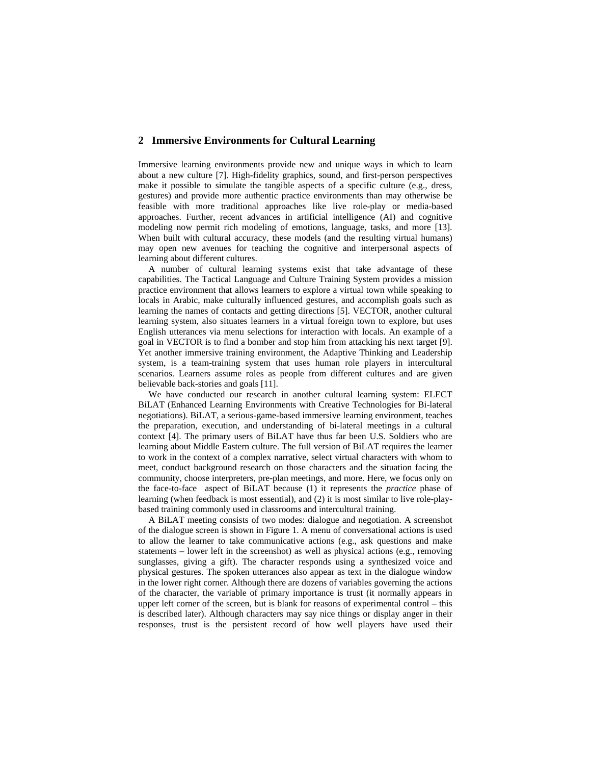### **2 Immersive Environments for Cultural Learning**

Immersive learning environments provide new and unique ways in which to learn about a new culture [7]. High-fidelity graphics, sound, and first-person perspectives make it possible to simulate the tangible aspects of a specific culture (e.g., dress, gestures) and provide more authentic practice environments than may otherwise be feasible with more traditional approaches like live role-play or media-based approaches. Further, recent advances in artificial intelligence (AI) and cognitive modeling now permit rich modeling of emotions, language, tasks, and more [13]. When built with cultural accuracy, these models (and the resulting virtual humans) may open new avenues for teaching the cognitive and interpersonal aspects of learning about different cultures.

A number of cultural learning systems exist that take advantage of these capabilities. The Tactical Language and Culture Training System provides a mission practice environment that allows learners to explore a virtual town while speaking to locals in Arabic, make culturally influenced gestures, and accomplish goals such as learning the names of contacts and getting directions [5]. VECTOR, another cultural learning system, also situates learners in a virtual foreign town to explore, but uses English utterances via menu selections for interaction with locals. An example of a goal in VECTOR is to find a bomber and stop him from attacking his next target [9]. Yet another immersive training environment, the Adaptive Thinking and Leadership system, is a team-training system that uses human role players in intercultural scenarios. Learners assume roles as people from different cultures and are given believable back-stories and goals [11].

We have conducted our research in another cultural learning system: ELECT BiLAT (Enhanced Learning Environments with Creative Technologies for Bi-lateral negotiations). BiLAT, a serious-game-based immersive learning environment, teaches the preparation, execution, and understanding of bi-lateral meetings in a cultural context [4]. The primary users of BiLAT have thus far been U.S. Soldiers who are learning about Middle Eastern culture. The full version of BiLAT requires the learner to work in the context of a complex narrative, select virtual characters with whom to meet, conduct background research on those characters and the situation facing the community, choose interpreters, pre-plan meetings, and more. Here, we focus only on the face-to-face aspect of BiLAT because (1) it represents the *practice* phase of learning (when feedback is most essential), and (2) it is most similar to live role-playbased training commonly used in classrooms and intercultural training.

A BiLAT meeting consists of two modes: dialogue and negotiation. A screenshot of the dialogue screen is shown in Figure 1. A menu of conversational actions is used to allow the learner to take communicative actions (e.g., ask questions and make statements – lower left in the screenshot) as well as physical actions (e.g., removing sunglasses, giving a gift). The character responds using a synthesized voice and physical gestures. The spoken utterances also appear as text in the dialogue window in the lower right corner. Although there are dozens of variables governing the actions of the character, the variable of primary importance is trust (it normally appears in upper left corner of the screen, but is blank for reasons of experimental control – this is described later). Although characters may say nice things or display anger in their responses, trust is the persistent record of how well players have used their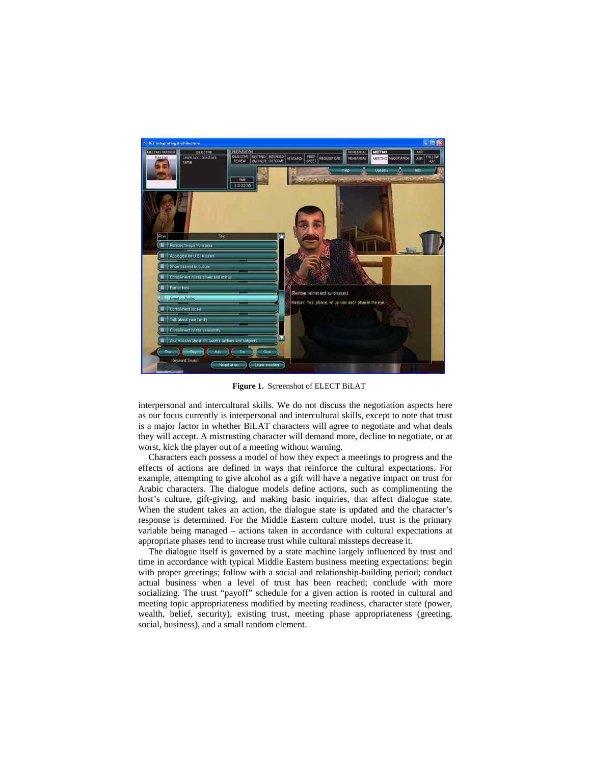

**Figure 1.** Screenshot of ELECT BiLAT

interpersonal and intercultural skills. We do not discuss the negotiation aspects here as our focus currently is interpersonal and intercultural skills, except to note that trust is a major factor in whether BiLAT characters will agree to negotiate and what deals they will accept. A mistrusting character will demand more, decline to negotiate, or at worst, kick the player out of a meeting without warning.

Characters each possess a model of how they expect a meetings to progress and the effects of actions are defined in ways that reinforce the cultural expectations. For example, attempting to give alcohol as a gift will have a negative impact on trust for Arabic characters. The dialogue models define actions, such as complimenting the host's culture, gift-giving, and making basic inquiries, that affect dialogue state. When the student takes an action, the dialogue state is updated and the character's response is determined. For the Middle Eastern culture model, trust is the primary variable being managed – actions taken in accordance with cultural expectations at appropriate phases tend to increase trust while cultural missteps decrease it.

The dialogue itself is governed by a state machine largely influenced by trust and time in accordance with typical Middle Eastern business meeting expectations: begin with proper greetings; follow with a social and relationship-building period; conduct actual business when a level of trust has been reached; conclude with more socializing. The trust "payoff" schedule for a given action is rooted in cultural and meeting topic appropriateness modified by meeting readiness, character state (power, wealth, belief, security), existing trust, meeting phase appropriateness (greeting, social, business), and a small random element.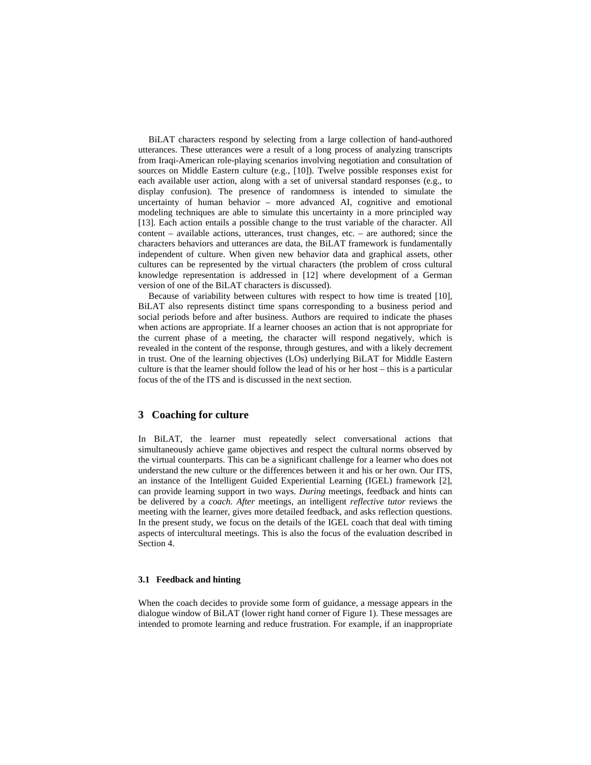BiLAT characters respond by selecting from a large collection of hand-authored utterances. These utterances were a result of a long process of analyzing transcripts from Iraqi-American role-playing scenarios involving negotiation and consultation of sources on Middle Eastern culture (e.g., [10]). Twelve possible responses exist for each available user action, along with a set of universal standard responses (e.g., to display confusion). The presence of randomness is intended to simulate the uncertainty of human behavior – more advanced AI, cognitive and emotional modeling techniques are able to simulate this uncertainty in a more principled way [13]. Each action entails a possible change to the trust variable of the character. All content – available actions, utterances, trust changes, etc. – are authored; since the characters behaviors and utterances are data, the BiLAT framework is fundamentally independent of culture. When given new behavior data and graphical assets, other cultures can be represented by the virtual characters (the problem of cross cultural knowledge representation is addressed in [12] where development of a German version of one of the BiLAT characters is discussed).

Because of variability between cultures with respect to how time is treated [10], BiLAT also represents distinct time spans corresponding to a business period and social periods before and after business. Authors are required to indicate the phases when actions are appropriate. If a learner chooses an action that is not appropriate for the current phase of a meeting, the character will respond negatively, which is revealed in the content of the response, through gestures, and with a likely decrement in trust. One of the learning objectives (LOs) underlying BiLAT for Middle Eastern culture is that the learner should follow the lead of his or her host – this is a particular focus of the of the ITS and is discussed in the next section.

### **3 Coaching for culture**

In BiLAT, the learner must repeatedly select conversational actions that simultaneously achieve game objectives and respect the cultural norms observed by the virtual counterparts. This can be a significant challenge for a learner who does not understand the new culture or the differences between it and his or her own. Our ITS, an instance of the Intelligent Guided Experiential Learning (IGEL) framework [2], can provide learning support in two ways. *During* meetings, feedback and hints can be delivered by a *coach. After* meetings, an intelligent *reflective tutor* reviews the meeting with the learner, gives more detailed feedback, and asks reflection questions. In the present study, we focus on the details of the IGEL coach that deal with timing aspects of intercultural meetings. This is also the focus of the evaluation described in Section 4.

#### **3.1 Feedback and hinting**

When the coach decides to provide some form of guidance, a message appears in the dialogue window of BiLAT (lower right hand corner of Figure 1). These messages are intended to promote learning and reduce frustration. For example, if an inappropriate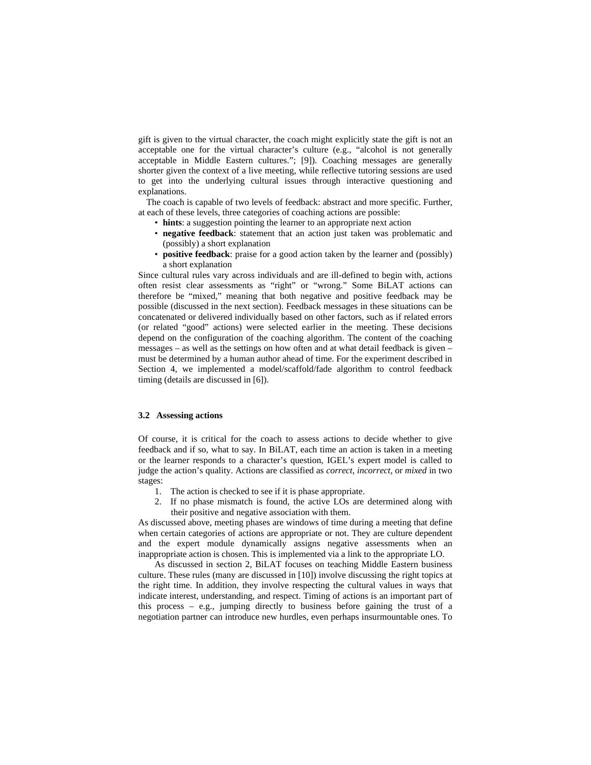gift is given to the virtual character, the coach might explicitly state the gift is not an acceptable one for the virtual character's culture (e.g., "alcohol is not generally acceptable in Middle Eastern cultures."; [9]). Coaching messages are generally shorter given the context of a live meeting, while reflective tutoring sessions are used to get into the underlying cultural issues through interactive questioning and explanations.

The coach is capable of two levels of feedback: abstract and more specific. Further, at each of these levels, three categories of coaching actions are possible:

- **hints**: a suggestion pointing the learner to an appropriate next action
- **negative feedback**: statement that an action just taken was problematic and (possibly) a short explanation
- **positive feedback**: praise for a good action taken by the learner and (possibly) a short explanation

Since cultural rules vary across individuals and are ill-defined to begin with, actions often resist clear assessments as "right" or "wrong." Some BiLAT actions can therefore be "mixed," meaning that both negative and positive feedback may be possible (discussed in the next section). Feedback messages in these situations can be concatenated or delivered individually based on other factors, such as if related errors (or related "good" actions) were selected earlier in the meeting. These decisions depend on the configuration of the coaching algorithm. The content of the coaching messages – as well as the settings on how often and at what detail feedback is given – must be determined by a human author ahead of time. For the experiment described in Section 4, we implemented a model/scaffold/fade algorithm to control feedback timing (details are discussed in [6]).

### **3.2 Assessing actions**

Of course, it is critical for the coach to assess actions to decide whether to give feedback and if so, what to say. In BiLAT, each time an action is taken in a meeting or the learner responds to a character's question, IGEL's expert model is called to judge the action's quality. Actions are classified as *correct*, *incorrect*, or *mixed* in two stages:

- 1. The action is checked to see if it is phase appropriate.
- 2. If no phase mismatch is found, the active LOs are determined along with their positive and negative association with them.

As discussed above, meeting phases are windows of time during a meeting that define when certain categories of actions are appropriate or not. They are culture dependent and the expert module dynamically assigns negative assessments when an inappropriate action is chosen. This is implemented via a link to the appropriate LO.

 As discussed in section 2, BiLAT focuses on teaching Middle Eastern business culture. These rules (many are discussed in [10]) involve discussing the right topics at the right time. In addition, they involve respecting the cultural values in ways that indicate interest, understanding, and respect. Timing of actions is an important part of this process – e.g., jumping directly to business before gaining the trust of a negotiation partner can introduce new hurdles, even perhaps insurmountable ones. To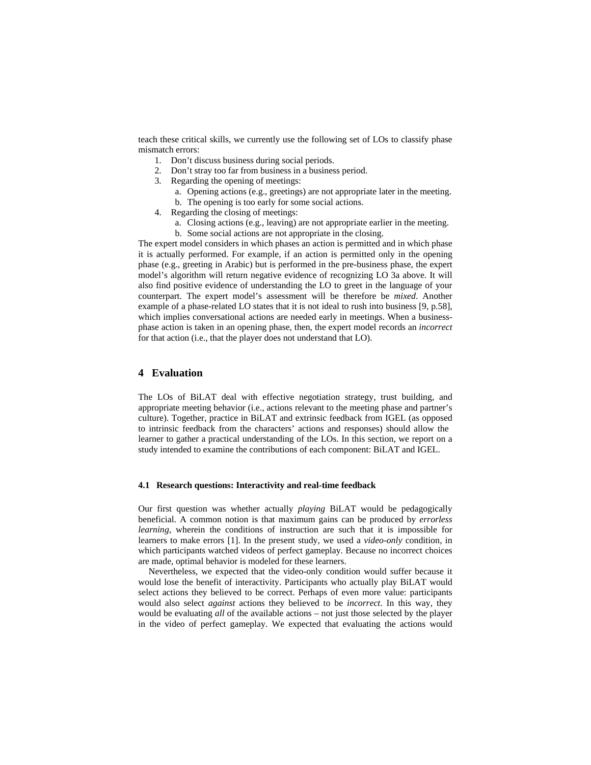teach these critical skills, we currently use the following set of LOs to classify phase mismatch errors:

- 1. Don't discuss business during social periods.
- 2. Don't stray too far from business in a business period.
- 3. Regarding the opening of meetings:
	- a. Opening actions (e.g., greetings) are not appropriate later in the meeting.
	- b. The opening is too early for some social actions.
- 4. Regarding the closing of meetings:
	- a. Closing actions (e.g., leaving) are not appropriate earlier in the meeting.
	- b. Some social actions are not appropriate in the closing.

The expert model considers in which phases an action is permitted and in which phase it is actually performed. For example, if an action is permitted only in the opening phase (e.g., greeting in Arabic) but is performed in the pre-business phase, the expert model's algorithm will return negative evidence of recognizing LO 3a above. It will also find positive evidence of understanding the LO to greet in the language of your counterpart. The expert model's assessment will be therefore be *mixed*. Another example of a phase-related LO states that it is not ideal to rush into business [9, p.58], which implies conversational actions are needed early in meetings. When a businessphase action is taken in an opening phase, then, the expert model records an *incorrect* for that action (i.e., that the player does not understand that LO).

### **4 Evaluation**

The LOs of BiLAT deal with effective negotiation strategy, trust building, and appropriate meeting behavior (i.e., actions relevant to the meeting phase and partner's culture). Together, practice in BiLAT and extrinsic feedback from IGEL (as opposed to intrinsic feedback from the characters' actions and responses) should allow the learner to gather a practical understanding of the LOs. In this section, we report on a study intended to examine the contributions of each component: BiLAT and IGEL.

#### **4.1 Research questions: Interactivity and real-time feedback**

Our first question was whether actually *playing* BiLAT would be pedagogically beneficial. A common notion is that maximum gains can be produced by *errorless learning*, wherein the conditions of instruction are such that it is impossible for learners to make errors [1]. In the present study, we used a *video-only* condition, in which participants watched videos of perfect gameplay. Because no incorrect choices are made, optimal behavior is modeled for these learners.

Nevertheless, we expected that the video-only condition would suffer because it would lose the benefit of interactivity. Participants who actually play BiLAT would select actions they believed to be correct. Perhaps of even more value: participants would also select *against* actions they believed to be *incorrect*. In this way, they would be evaluating *all* of the available actions – not just those selected by the player in the video of perfect gameplay. We expected that evaluating the actions would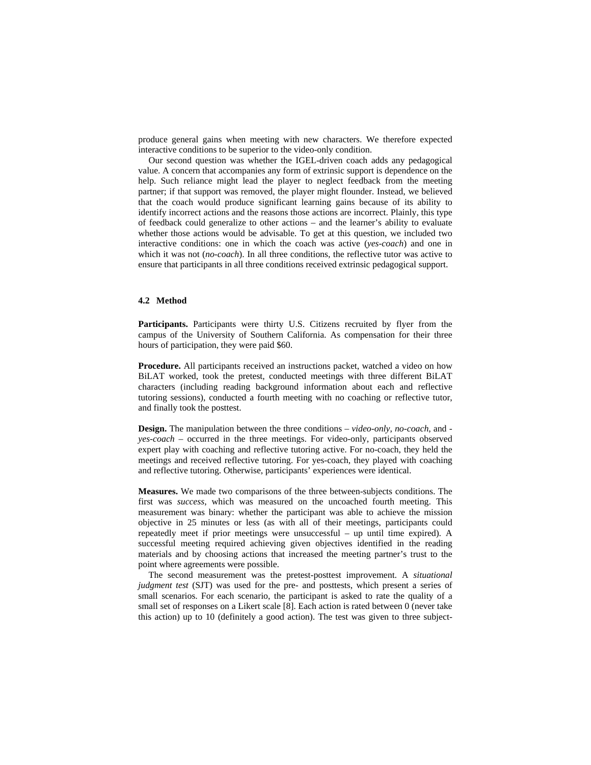produce general gains when meeting with new characters. We therefore expected interactive conditions to be superior to the video-only condition.

Our second question was whether the IGEL-driven coach adds any pedagogical value. A concern that accompanies any form of extrinsic support is dependence on the help. Such reliance might lead the player to neglect feedback from the meeting partner; if that support was removed, the player might flounder. Instead, we believed that the coach would produce significant learning gains because of its ability to identify incorrect actions and the reasons those actions are incorrect. Plainly, this type of feedback could generalize to other actions – and the learner's ability to evaluate whether those actions would be advisable. To get at this question, we included two interactive conditions: one in which the coach was active (*yes-coach*) and one in which it was not *(no-coach)*. In all three conditions, the reflective tutor was active to ensure that participants in all three conditions received extrinsic pedagogical support.

### **4.2 Method**

**Participants.** Participants were thirty U.S. Citizens recruited by flyer from the campus of the University of Southern California. As compensation for their three hours of participation, they were paid \$60.

**Procedure.** All participants received an instructions packet, watched a video on how BiLAT worked, took the pretest, conducted meetings with three different BiLAT characters (including reading background information about each and reflective tutoring sessions), conducted a fourth meeting with no coaching or reflective tutor, and finally took the posttest.

**Design.** The manipulation between the three conditions – *video-only*, *no-coach*, and  *yes-coach* – occurred in the three meetings. For video-only, participants observed expert play with coaching and reflective tutoring active. For no-coach, they held the meetings and received reflective tutoring. For yes-coach, they played with coaching and reflective tutoring. Otherwise, participants' experiences were identical.

**Measures.** We made two comparisons of the three between-subjects conditions. The first was *success*, which was measured on the uncoached fourth meeting. This measurement was binary: whether the participant was able to achieve the mission objective in 25 minutes or less (as with all of their meetings, participants could repeatedly meet if prior meetings were unsuccessful – up until time expired). A successful meeting required achieving given objectives identified in the reading materials and by choosing actions that increased the meeting partner's trust to the point where agreements were possible.

The second measurement was the pretest-posttest improvement. A *situational judgment test* (SJT) was used for the pre- and posttests, which present a series of small scenarios. For each scenario, the participant is asked to rate the quality of a small set of responses on a Likert scale [8]. Each action is rated between 0 (never take this action) up to 10 (definitely a good action). The test was given to three subject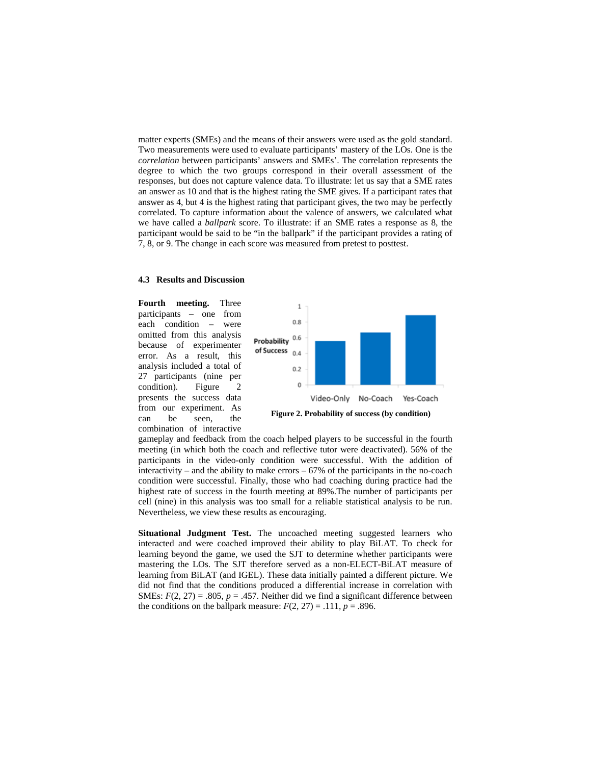matter experts (SMEs) and the means of their answers were used as the gold standard. Two measurements were used to evaluate participants' mastery of the LOs. One is the *correlation* between participants' answers and SMEs'. The correlation represents the degree to which the two groups correspond in their overall assessment of the responses, but does not capture valence data. To illustrate: let us say that a SME rates an answer as 10 and that is the highest rating the SME gives. If a participant rates that answer as 4, but 4 is the highest rating that participant gives, the two may be perfectly correlated. To capture information about the valence of answers, we calculated what we have called a *ballpark* score. To illustrate: if an SME rates a response as 8, the participant would be said to be "in the ballpark" if the participant provides a rating of 7, 8, or 9. The change in each score was measured from pretest to posttest.

#### **4.3 Results and Discussion**

**Fourth meeting.** Three participants – one from each condition – were omitted from this analysis because of experimenter error. As a result, this analysis included a total of 27 participants (nine per condition). Figure 2 presents the success data from our experiment. As can be seen, the combination of interactive



gameplay and feedback from the coach helped players to be successful in the fourth meeting (in which both the coach and reflective tutor were deactivated). 56% of the participants in the video-only condition were successful. With the addition of interactivity – and the ability to make errors  $-67\%$  of the participants in the no-coach condition were successful. Finally, those who had coaching during practice had the highest rate of success in the fourth meeting at 89%.The number of participants per cell (nine) in this analysis was too small for a reliable statistical analysis to be run. Nevertheless, we view these results as encouraging.

**Situational Judgment Test.** The uncoached meeting suggested learners who interacted and were coached improved their ability to play BiLAT. To check for learning beyond the game, we used the SJT to determine whether participants were mastering the LOs. The SJT therefore served as a non-ELECT-BiLAT measure of learning from BiLAT (and IGEL). These data initially painted a different picture. We did not find that the conditions produced a differential increase in correlation with SMEs:  $F(2, 27) = .805$ ,  $p = .457$ . Neither did we find a significant difference between the conditions on the ballpark measure:  $F(2, 27) = .111$ ,  $p = .896$ .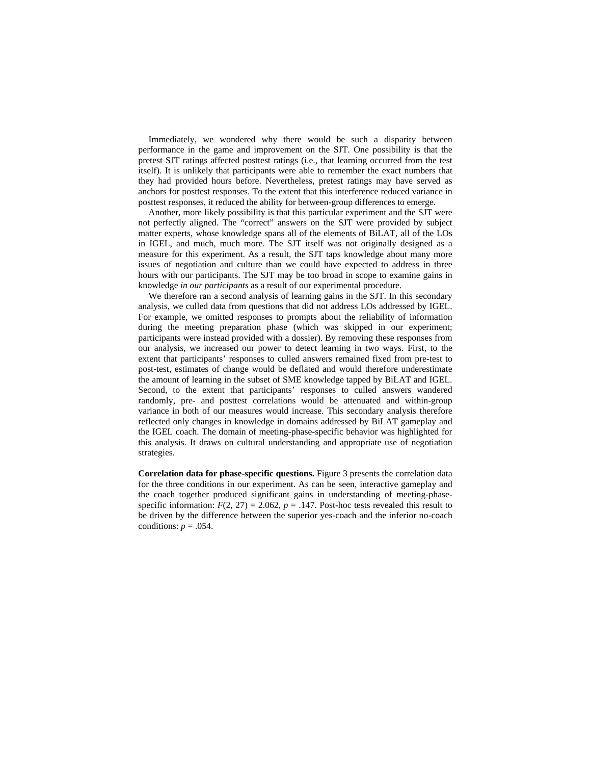Immediately, we wondered why there would be such a disparity between performance in the game and improvement on the SJT. One possibility is that the pretest SJT ratings affected posttest ratings (i.e., that learning occurred from the test itself). It is unlikely that participants were able to remember the exact numbers that they had provided hours before. Nevertheless, pretest ratings may have served as anchors for posttest responses. To the extent that this interference reduced variance in posttest responses, it reduced the ability for between-group differences to emerge.

Another, more likely possibility is that this particular experiment and the SJT were not perfectly aligned. The "correct" answers on the SJT were provided by subject matter experts, whose knowledge spans all of the elements of BiLAT, all of the LOs in IGEL, and much, much more. The SJT itself was not originally designed as a measure for this experiment. As a result, the SJT taps knowledge about many more issues of negotiation and culture than we could have expected to address in three hours with our participants. The SJT may be too broad in scope to examine gains in knowledge *in our participants* as a result of our experimental procedure.

We therefore ran a second analysis of learning gains in the SJT. In this secondary analysis, we culled data from questions that did not address LOs addressed by IGEL. For example, we omitted responses to prompts about the reliability of information during the meeting preparation phase (which was skipped in our experiment; participants were instead provided with a dossier). By removing these responses from our analysis, we increased our power to detect learning in two ways. First, to the extent that participants' responses to culled answers remained fixed from pre-test to post-test, estimates of change would be deflated and would therefore underestimate the amount of learning in the subset of SME knowledge tapped by BiLAT and IGEL. Second, to the extent that participants' responses to culled answers wandered randomly, pre- and posttest correlations would be attenuated and within-group variance in both of our measures would increase. This secondary analysis therefore reflected only changes in knowledge in domains addressed by BiLAT gameplay and the IGEL coach. The domain of meeting-phase-specific behavior was highlighted for this analysis. It draws on cultural understanding and appropriate use of negotiation strategies.

**Correlation data for phase-specific questions.** Figure 3 presents the correlation data for the three conditions in our experiment. As can be seen, interactive gameplay and the coach together produced significant gains in understanding of meeting-phasespecific information:  $F(2, 27) = 2.062$ ,  $p = .147$ . Post-hoc tests revealed this result to be driven by the difference between the superior yes-coach and the inferior no-coach conditions:  $p = .054$ .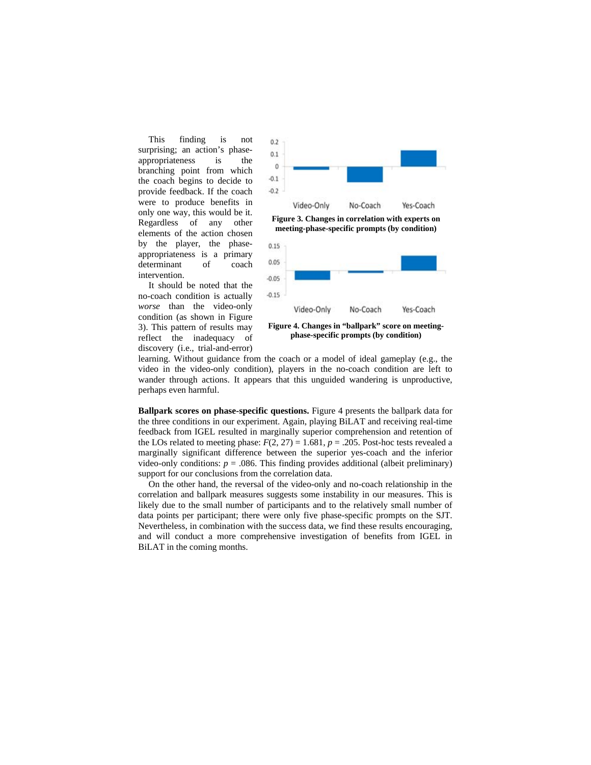This finding is not surprising; an action's phaseappropriateness is the branching point from which the coach begins to decide to provide feedback. If the coach were to produce benefits in only one way, this would be it. Regardless of any other elements of the action chosen by the player, the phaseappropriateness is a primary determinant of coach intervention.

It should be noted that the no-coach condition is actually *worse* than the video-only condition (as shown in Figure 3). This pattern of results may reflect the inadequacy of discovery (i.e., trial-and-error)



**Figure 3. Changes in correlation with experts on meeting-phase-specific prompts (by condition)** 



**phase-specific prompts (by condition)** 

learning. Without guidance from the coach or a model of ideal gameplay (e.g., the video in the video-only condition), players in the no-coach condition are left to wander through actions. It appears that this unguided wandering is unproductive, perhaps even harmful.

**Ballpark scores on phase-specific questions.** Figure 4 presents the ballpark data for the three conditions in our experiment. Again, playing BiLAT and receiving real-time feedback from IGEL resulted in marginally superior comprehension and retention of the LOs related to meeting phase:  $F(2, 27) = 1.681$ ,  $p = .205$ . Post-hoc tests revealed a marginally significant difference between the superior yes-coach and the inferior video-only conditions:  $p = 0.086$ . This finding provides additional (albeit preliminary) support for our conclusions from the correlation data.

On the other hand, the reversal of the video-only and no-coach relationship in the correlation and ballpark measures suggests some instability in our measures. This is likely due to the small number of participants and to the relatively small number of data points per participant; there were only five phase-specific prompts on the SJT. Nevertheless, in combination with the success data, we find these results encouraging, and will conduct a more comprehensive investigation of benefits from IGEL in BiLAT in the coming months.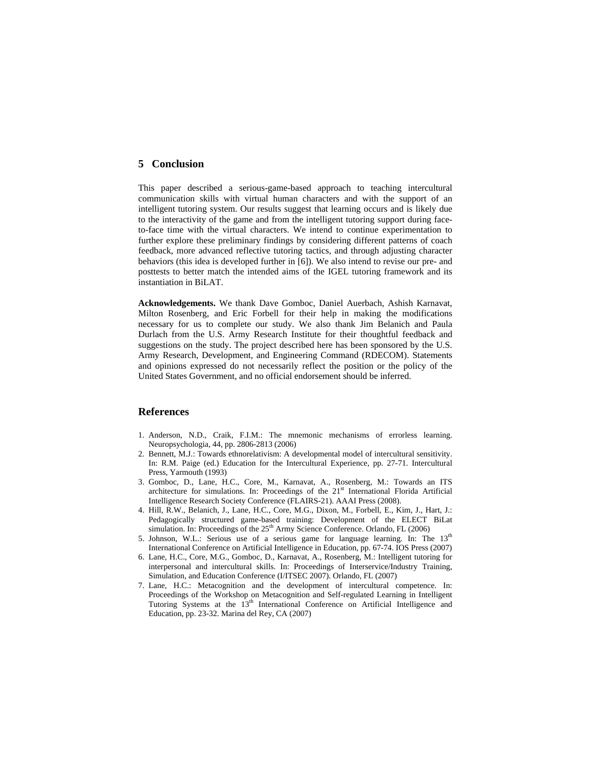# **5 Conclusion**

This paper described a serious-game-based approach to teaching intercultural communication skills with virtual human characters and with the support of an intelligent tutoring system. Our results suggest that learning occurs and is likely due to the interactivity of the game and from the intelligent tutoring support during faceto-face time with the virtual characters. We intend to continue experimentation to further explore these preliminary findings by considering different patterns of coach feedback, more advanced reflective tutoring tactics, and through adjusting character behaviors (this idea is developed further in [6]). We also intend to revise our pre- and posttests to better match the intended aims of the IGEL tutoring framework and its instantiation in BiLAT.

**Acknowledgements.** We thank Dave Gomboc, Daniel Auerbach, Ashish Karnavat, Milton Rosenberg, and Eric Forbell for their help in making the modifications necessary for us to complete our study. We also thank Jim Belanich and Paula Durlach from the U.S. Army Research Institute for their thoughtful feedback and suggestions on the study. The project described here has been sponsored by the U.S. Army Research, Development, and Engineering Command (RDECOM). Statements and opinions expressed do not necessarily reflect the position or the policy of the United States Government, and no official endorsement should be inferred.

# **References**

- 1. Anderson, N.D., Craik, F.I.M.: The mnemonic mechanisms of errorless learning. Neuropsychologia, 44, pp. 2806-2813 (2006)
- 2. Bennett, M.J.: Towards ethnorelativism: A developmental model of intercultural sensitivity. In: R.M. Paige (ed.) Education for the Intercultural Experience, pp. 27-71. Intercultural Press, Yarmouth (1993)
- 3. Gomboc, D., Lane, H.C., Core, M., Karnavat, A., Rosenberg, M.: Towards an ITS architecture for simulations. In: Proceedings of the  $21<sup>st</sup>$  International Florida Artificial Intelligence Research Society Conference (FLAIRS-21). AAAI Press (2008).
- 4. Hill, R.W., Belanich, J., Lane, H.C., Core, M.G., Dixon, M., Forbell, E., Kim, J., Hart, J.: Pedagogically structured game-based training: Development of the ELECT BiLat simulation. In: Proceedings of the 25<sup>th</sup> Army Science Conference. Orlando, FL (2006)
- 5. Johnson, W.L.: Serious use of a serious game for language learning. In: The  $13<sup>th</sup>$ International Conference on Artificial Intelligence in Education, pp. 67-74. IOS Press (2007)
- 6. Lane, H.C., Core, M.G., Gomboc, D., Karnavat, A., Rosenberg, M.: Intelligent tutoring for interpersonal and intercultural skills. In: Proceedings of Interservice/Industry Training, Simulation, and Education Conference (I/ITSEC 2007). Orlando, FL (2007)
- 7. Lane, H.C.: Metacognition and the development of intercultural competence. In: Proceedings of the Workshop on Metacognition and Self-regulated Learning in Intelligent Tutoring Systems at the 13<sup>th</sup> International Conference on Artificial Intelligence and Education, pp. 23-32. Marina del Rey, CA (2007)